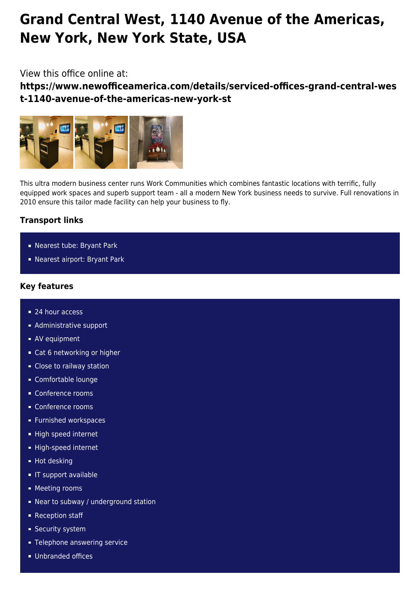# **Grand Central West, 1140 Avenue of the Americas, New York, New York State, USA**

## View this office online at:

**https://www.newofficeamerica.com/details/serviced-offices-grand-central-wes t-1140-avenue-of-the-americas-new-york-st**



This ultra modern business center runs Work Communities which combines fantastic locations with terrific, fully equipped work spaces and superb support team - all a modern New York business needs to survive. Full renovations in 2010 ensure this tailor made facility can help your business to fly.

# **Transport links**

- Nearest tube: Bryant Park
- Nearest airport: Bryant Park

### **Key features**

- 24 hour access
- **Administrative support**
- **AV** equipment
- Cat 6 networking or higher
- Close to railway station
- Comfortable lounge
- Conference rooms
- Conference rooms
- **Furnished workspaces**
- High speed internet
- High-speed internet
- Hot desking
- **IF support available**
- **Meeting rooms**
- Near to subway / underground station
- Reception staff
- **Security system**
- **Telephone answering service**
- **Unbranded offices**